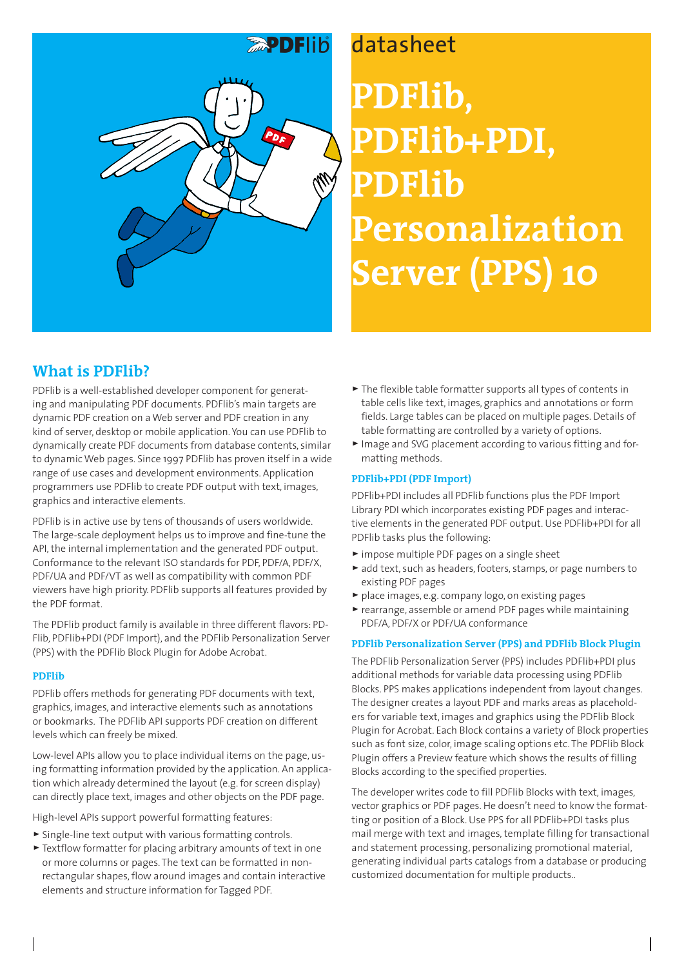

# **PDFlib, PDFlib+PDI, PDFlib Personalization Server (PPS) 10**

# **What is PDFlib?**

PDFlib is a well-established developer component for generating and manipulating PDF documents. PDFlib's main targets are dynamic PDF creation on a Web server and PDF creation in any kind of server, desktop or mobile application. You can use PDFlib to dynamically create PDF documents from database contents, similar to dynamic Web pages. Since 1997 PDFlib has proven itself in a wide range of use cases and development environments. Application programmers use PDFlib to create PDF output with text, images, graphics and interactive elements.

PDFlib is in active use by tens of thousands of users worldwide. The large-scale deployment helps us to improve and fine-tune the API, the internal implementation and the generated PDF output. Conformance to the relevant ISO standards for PDF, PDF/A, PDF/X, PDF/UA and PDF/VT as well as compatibility with common PDF viewers have high priority. PDFlib supports all features provided by the PDF format.

The PDFlib product family is available in three different flavors: PD-Flib, PDFlib+PDI (PDF Import), and the PDFlib Personalization Server (PPS) with the PDFlib Block Plugin for Adobe Acrobat.

### **PDFlib**

PDFlib offers methods for generating PDF documents with text, graphics, images, and interactive elements such as annotations or bookmarks. The PDFlib API supports PDF creation on different levels which can freely be mixed.

Low-level APIs allow you to place individual items on the page, using formatting information provided by the application. An application which already determined the layout (e.g. for screen display) can directly place text, images and other objects on the PDF page.

High-level APIs support powerful formatting features:

- > Single-line text output with various formatting controls.
- > Textflow formatter for placing arbitrary amounts of text in one or more columns or pages. The text can be formatted in nonrectangular shapes, flow around images and contain interactive elements and structure information for Tagged PDF.
- > The flexible table formatter supports all types of contents in table cells like text, images, graphics and annotations or form fields. Large tables can be placed on multiple pages. Details of table formatting are controlled by a variety of options.
- > Image and SVG placement according to various fitting and formatting methods.

### **PDFlib+PDI (PDF Import)**

PDFlib+PDI includes all PDFlib functions plus the PDF Import Library PDI which incorporates existing PDF pages and interactive elements in the generated PDF output. Use PDFlib+PDI for all PDFlib tasks plus the following:

- > impose multiple PDF pages on a single sheet
- > add text, such as headers, footers, stamps, or page numbers to existing PDF pages
- > place images, e.g. company logo, on existing pages
- > rearrange, assemble or amend PDF pages while maintaining PDF/A, PDF/X or PDF/UA conformance

### **PDFlib Personalization Server (PPS) and PDFlib Block Plugin**

The PDFlib Personalization Server (PPS) includes PDFlib+PDI plus additional methods for variable data processing using PDFlib Blocks. PPS makes applications independent from layout changes. The designer creates a layout PDF and marks areas as placeholders for variable text, images and graphics using the PDFlib Block Plugin for Acrobat. Each Block contains a variety of Block properties such as font size, color, image scaling options etc. The PDFlib Block Plugin offers a Preview feature which shows the results of filling Blocks according to the specified properties.

The developer writes code to fill PDFlib Blocks with text, images, vector graphics or PDF pages. He doesn't need to know the formatting or position of a Block. Use PPS for all PDFlib+PDI tasks plus mail merge with text and images, template filling for transactional and statement processing, personalizing promotional material, generating individual parts catalogs from a database or producing customized documentation for multiple products..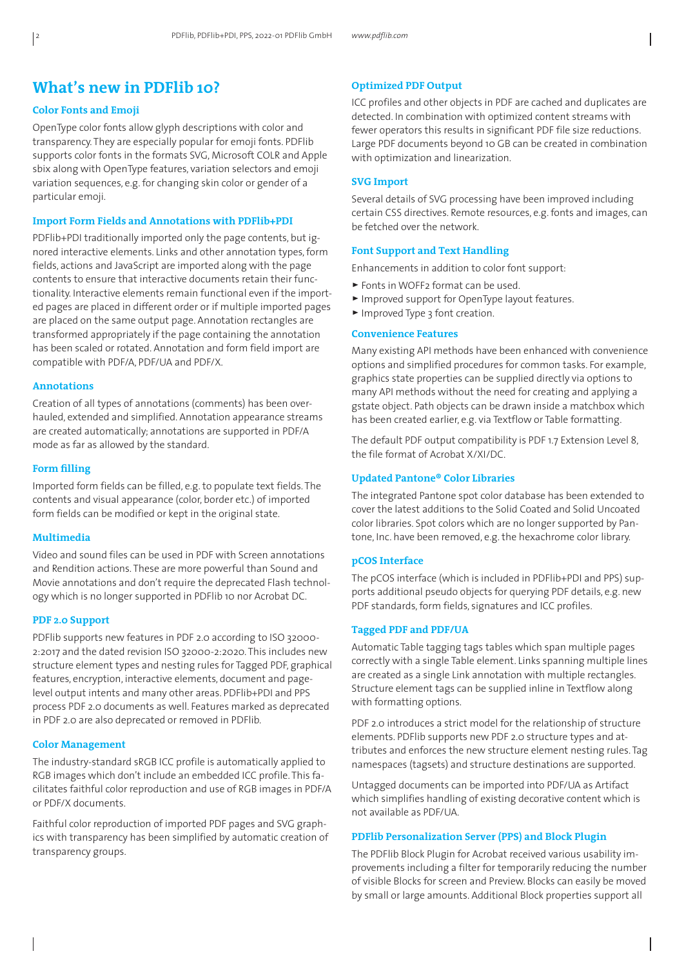# **What's new in PDFlib 10?**

#### **Color Fonts and Emoji**

OpenType color fonts allow glyph descriptions with color and transparency. They are especially popular for emoji fonts. PDFlib supports color fonts in the formats SVG, Microsoft COLR and Apple sbix along with OpenType features, variation selectors and emoji variation sequences, e.g. for changing skin color or gender of a particular emoji.

#### **Import Form Fields and Annotations with PDFlib+PDI**

PDFlib+PDI traditionally imported only the page contents, but ignored interactive elements. Links and other annotation types, form fields, actions and JavaScript are imported along with the page contents to ensure that interactive documents retain their functionality. Interactive elements remain functional even if the imported pages are placed in different order or if multiple imported pages are placed on the same output page. Annotation rectangles are transformed appropriately if the page containing the annotation has been scaled or rotated. Annotation and form field import are compatible with PDF/A, PDF/UA and PDF/X.

#### **Annotations**

Creation of all types of annotations (comments) has been overhauled, extended and simplified. Annotation appearance streams are created automatically; annotations are supported in PDF/A mode as far as allowed by the standard.

#### **Form filling**

Imported form fields can be filled, e.g. to populate text fields. The contents and visual appearance (color, border etc.) of imported form fields can be modified or kept in the original state.

#### **Multimedia**

Video and sound files can be used in PDF with Screen annotations and Rendition actions. These are more powerful than Sound and Movie annotations and don't require the deprecated Flash technology which is no longer supported in PDFlib 10 nor Acrobat DC.

#### **PDF 2.0 Support**

PDFlib supports new features in PDF 2.0 according to ISO 32000- 2:2017 and the dated revision ISO 32000-2:2020. This includes new structure element types and nesting rules for Tagged PDF, graphical features, encryption, interactive elements, document and pagelevel output intents and many other areas. PDFlib+PDI and PPS process PDF 2.0 documents as well. Features marked as deprecated in PDF 2.0 are also deprecated or removed in PDFlib.

#### **Color Management**

The industry-standard sRGB ICC profile is automatically applied to RGB images which don't include an embedded ICC profile. This facilitates faithful color reproduction and use of RGB images in PDF/A or PDF/X documents.

Faithful color reproduction of imported PDF pages and SVG graphics with transparency has been simplified by automatic creation of transparency groups.

#### **Optimized PDF Output**

ICC profiles and other objects in PDF are cached and duplicates are detected. In combination with optimized content streams with fewer operators this results in significant PDF file size reductions. Large PDF documents beyond 10 GB can be created in combination with optimization and linearization.

#### **SVG Import**

Several details of SVG processing have been improved including certain CSS directives. Remote resources, e.g. fonts and images, can be fetched over the network.

#### **Font Support and Text Handling**

Enhancements in addition to color font support:

- > Fonts in WOFF2 format can be used.
- > Improved support for OpenType layout features.
- > Improved Type 3 font creation.

#### **Convenience Features**

Many existing API methods have been enhanced with convenience options and simplified procedures for common tasks. For example, graphics state properties can be supplied directly via options to many API methods without the need for creating and applying a gstate object. Path objects can be drawn inside a matchbox which has been created earlier, e.g. via Textflow or Table formatting.

The default PDF output compatibility is PDF 1.7 Extension Level 8, the file format of Acrobat X/XI/DC.

#### **Updated Pantone® Color Libraries**

The integrated Pantone spot color database has been extended to cover the latest additions to the Solid Coated and Solid Uncoated color libraries. Spot colors which are no longer supported by Pantone, Inc. have been removed, e.g. the hexachrome color library.

#### **pCOS Interface**

The pCOS interface (which is included in PDFlib+PDI and PPS) supports additional pseudo objects for querying PDF details, e.g. new PDF standards, form fields, signatures and ICC profiles.

#### **Tagged PDF and PDF/UA**

Automatic Table tagging tags tables which span multiple pages correctly with a single Table element. Links spanning multiple lines are created as a single Link annotation with multiple rectangles. Structure element tags can be supplied inline in Textflow along with formatting options.

PDF 2.0 introduces a strict model for the relationship of structure elements. PDFlib supports new PDF 2.0 structure types and attributes and enforces the new structure element nesting rules. Tag namespaces (tagsets) and structure destinations are supported.

Untagged documents can be imported into PDF/UA as Artifact which simplifies handling of existing decorative content which is not available as PDF/UA.

#### **PDFlib Personalization Server (PPS) and Block Plugin**

The PDFlib Block Plugin for Acrobat received various usability improvements including a filter for temporarily reducing the number of visible Blocks for screen and Preview. Blocks can easily be moved by small or large amounts. Additional Block properties support all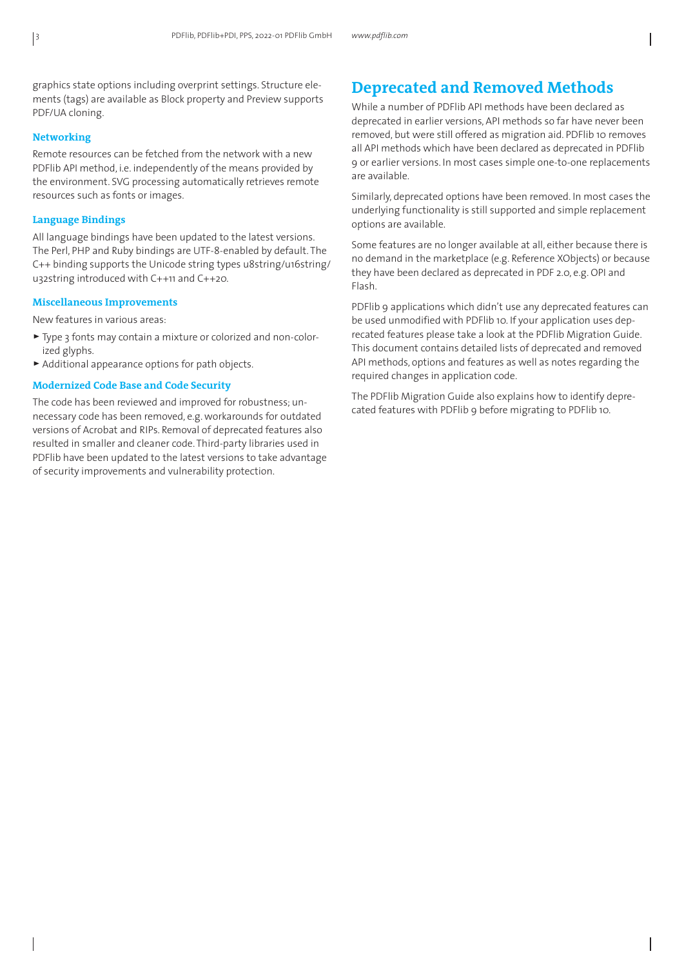graphics state options including overprint settings. Structure elements (tags) are available as Block property and Preview supports PDF/UA cloning.

#### **Networking**

Remote resources can be fetched from the network with a new PDFlib API method, i.e. independently of the means provided by the environment. SVG processing automatically retrieves remote resources such as fonts or images.

### **Language Bindings**

All language bindings have been updated to the latest versions. The Perl, PHP and Ruby bindings are UTF-8-enabled by default. The C++ binding supports the Unicode string types u8string/u16string/ u32string introduced with C++11 and C++20.

#### **Miscellaneous Improvements**

New features in various areas:

- > Type 3 fonts may contain a mixture or colorized and non-colorized glyphs.
- > Additional appearance options for path objects.

#### **Modernized Code Base and Code Security**

The code has been reviewed and improved for robustness; unnecessary code has been removed, e.g. workarounds for outdated versions of Acrobat and RIPs. Removal of deprecated features also resulted in smaller and cleaner code. Third-party libraries used in PDFlib have been updated to the latest versions to take advantage of security improvements and vulnerability protection.

# **Deprecated and Removed Methods**

While a number of PDFlib API methods have been declared as deprecated in earlier versions, API methods so far have never been removed, but were still offered as migration aid. PDFlib 10 removes all API methods which have been declared as deprecated in PDFlib 9 or earlier versions. In most cases simple one-to-one replacements are available.

Similarly, deprecated options have been removed. In most cases the underlying functionality is still supported and simple replacement options are available.

Some features are no longer available at all, either because there is no demand in the marketplace (e.g. Reference XObjects) or because they have been declared as deprecated in PDF 2.0, e.g. OPI and Flash.

PDFlib 9 applications which didn't use any deprecated features can be used unmodified with PDFlib 10. If your application uses deprecated features please take a look at the PDFlib Migration Guide. This document contains detailed lists of deprecated and removed API methods, options and features as well as notes regarding the required changes in application code.

The PDFlib Migration Guide also explains how to identify deprecated features with PDFlib 9 before migrating to PDFlib 10.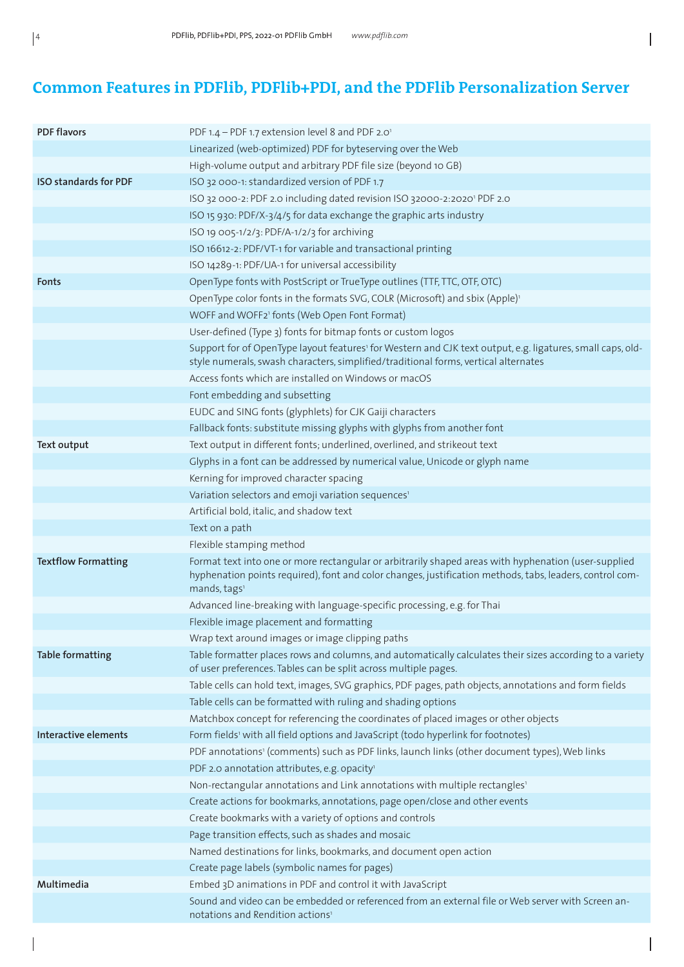# **Common Features in PDFlib, PDFlib+PDI, and the PDFlib Personalization Server**

 $\overline{\phantom{a}}$ 

| <b>PDF flavors</b>           | PDF 1.4 - PDF 1.7 extension level 8 and PDF 2.01                                                                                                                                                                                             |
|------------------------------|----------------------------------------------------------------------------------------------------------------------------------------------------------------------------------------------------------------------------------------------|
|                              | Linearized (web-optimized) PDF for byteserving over the Web                                                                                                                                                                                  |
|                              | High-volume output and arbitrary PDF file size (beyond 10 GB)                                                                                                                                                                                |
| <b>ISO standards for PDF</b> | ISO 32 000-1: standardized version of PDF 1.7                                                                                                                                                                                                |
|                              | ISO 32 000-2: PDF 2.0 including dated revision ISO 32000-2:2020' PDF 2.0                                                                                                                                                                     |
|                              | ISO 15 930: PDF/X-3/4/5 for data exchange the graphic arts industry                                                                                                                                                                          |
|                              | ISO 19 005-1/2/3: PDF/A-1/2/3 for archiving                                                                                                                                                                                                  |
|                              | ISO 16612-2: PDF/VT-1 for variable and transactional printing                                                                                                                                                                                |
|                              | ISO 14289-1: PDF/UA-1 for universal accessibility                                                                                                                                                                                            |
| Fonts                        | OpenType fonts with PostScript or TrueType outlines (TTF, TTC, OTF, OTC)                                                                                                                                                                     |
|                              | OpenType color fonts in the formats SVG, COLR (Microsoft) and sbix (Apple) <sup>1</sup>                                                                                                                                                      |
|                              | WOFF and WOFF2 <sup>1</sup> fonts (Web Open Font Format)                                                                                                                                                                                     |
|                              | User-defined (Type 3) fonts for bitmap fonts or custom logos                                                                                                                                                                                 |
|                              | Support for of OpenType layout features' for Western and CJK text output, e.g. ligatures, small caps, old-<br>style numerals, swash characters, simplified/traditional forms, vertical alternates                                            |
|                              | Access fonts which are installed on Windows or macOS                                                                                                                                                                                         |
|                              | Font embedding and subsetting                                                                                                                                                                                                                |
|                              | EUDC and SING fonts (glyphlets) for CJK Gaiji characters                                                                                                                                                                                     |
|                              | Fallback fonts: substitute missing glyphs with glyphs from another font                                                                                                                                                                      |
| Text output                  | Text output in different fonts; underlined, overlined, and strikeout text                                                                                                                                                                    |
|                              | Glyphs in a font can be addressed by numerical value, Unicode or glyph name                                                                                                                                                                  |
|                              | Kerning for improved character spacing                                                                                                                                                                                                       |
|                              | Variation selectors and emoji variation sequences <sup>1</sup>                                                                                                                                                                               |
|                              | Artificial bold, italic, and shadow text                                                                                                                                                                                                     |
|                              | Text on a path                                                                                                                                                                                                                               |
|                              | Flexible stamping method                                                                                                                                                                                                                     |
| <b>Textflow Formatting</b>   | Format text into one or more rectangular or arbitrarily shaped areas with hyphenation (user-supplied<br>hyphenation points required), font and color changes, justification methods, tabs, leaders, control com-<br>mands, tags <sup>1</sup> |
|                              | Advanced line-breaking with language-specific processing, e.g. for Thai                                                                                                                                                                      |
|                              | Flexible image placement and formatting                                                                                                                                                                                                      |
|                              | Wrap text around images or image clipping paths                                                                                                                                                                                              |
| <b>Table formatting</b>      | Table formatter places rows and columns, and automatically calculates their sizes according to a variety<br>of user preferences. Tables can be split across multiple pages.                                                                  |
|                              | Table cells can hold text, images, SVG graphics, PDF pages, path objects, annotations and form fields                                                                                                                                        |
|                              | Table cells can be formatted with ruling and shading options                                                                                                                                                                                 |
|                              | Matchbox concept for referencing the coordinates of placed images or other objects                                                                                                                                                           |
| <b>Interactive elements</b>  | Form fields' with all field options and JavaScript (todo hyperlink for footnotes)                                                                                                                                                            |
|                              | PDF annotations' (comments) such as PDF links, launch links (other document types), Web links                                                                                                                                                |
|                              | PDF 2.0 annotation attributes, e.g. opacity'                                                                                                                                                                                                 |
|                              | Non-rectangular annotations and Link annotations with multiple rectangles <sup>1</sup>                                                                                                                                                       |
|                              | Create actions for bookmarks, annotations, page open/close and other events                                                                                                                                                                  |
|                              | Create bookmarks with a variety of options and controls                                                                                                                                                                                      |
|                              | Page transition effects, such as shades and mosaic                                                                                                                                                                                           |
|                              | Named destinations for links, bookmarks, and document open action                                                                                                                                                                            |
|                              | Create page labels (symbolic names for pages)                                                                                                                                                                                                |
| Multimedia                   | Embed 3D animations in PDF and control it with JavaScript                                                                                                                                                                                    |
|                              | Sound and video can be embedded or referenced from an external file or Web server with Screen an-<br>notations and Rendition actions <sup>1</sup>                                                                                            |
|                              |                                                                                                                                                                                                                                              |

 $\overline{\phantom{a}}$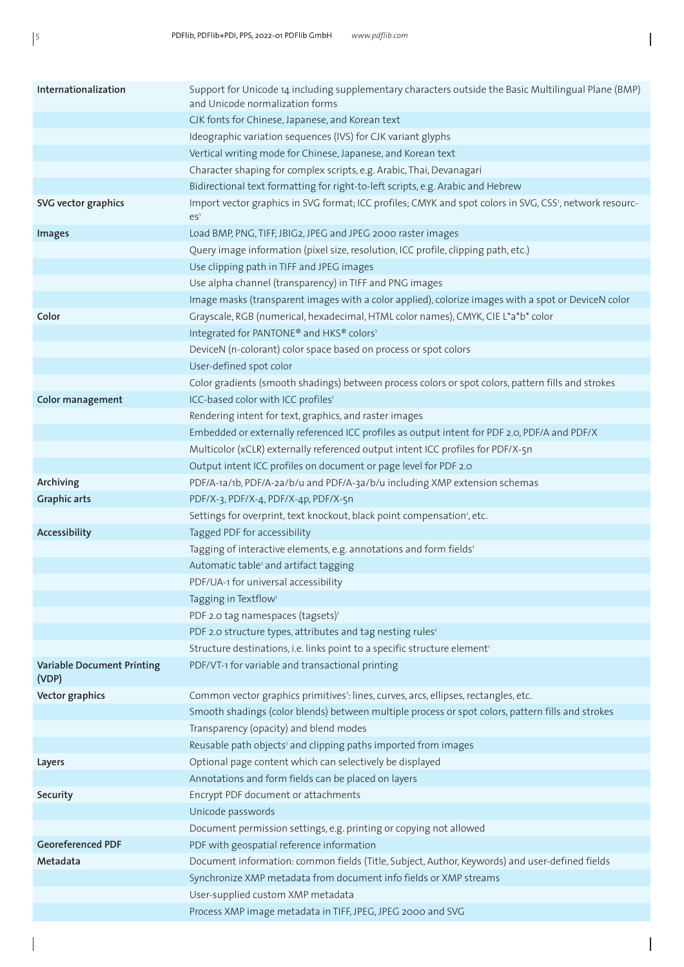$\bigg|$ 

 $\begin{array}{c} \end{array}$ 

| Internationalization                       | Support for Unicode 14 including supplementary characters outside the Basic Multilingual Plane (BMP)<br>and Unicode normalization forms |
|--------------------------------------------|-----------------------------------------------------------------------------------------------------------------------------------------|
|                                            | CJK fonts for Chinese, Japanese, and Korean text                                                                                        |
|                                            | Ideographic variation sequences (IVS) for CJK variant glyphs                                                                            |
|                                            | Vertical writing mode for Chinese, Japanese, and Korean text                                                                            |
|                                            | Character shaping for complex scripts, e.g. Arabic, Thai, Devanagari                                                                    |
|                                            | Bidirectional text formatting for right-to-left scripts, e.g. Arabic and Hebrew                                                         |
| SVG vector graphics                        | Import vector graphics in SVG format; ICC profiles; CMYK and spot colors in SVG, CSS', network resourc-<br>ES <sup>1</sup>              |
| <b>Images</b>                              | Load BMP, PNG, TIFF, JBIG2, JPEG and JPEG 2000 raster images                                                                            |
|                                            | Query image information (pixel size, resolution, ICC profile, clipping path, etc.)                                                      |
|                                            | Use clipping path in TIFF and JPEG images                                                                                               |
|                                            | Use alpha channel (transparency) in TIFF and PNG images                                                                                 |
|                                            | Image masks (transparent images with a color applied), colorize images with a spot or DeviceN color                                     |
| Color                                      | Grayscale, RGB (numerical, hexadecimal, HTML color names), CMYK, CIE L*a*b* color                                                       |
|                                            | Integrated for PANTONE® and HKS® colors1                                                                                                |
|                                            | DeviceN (n-colorant) color space based on process or spot colors                                                                        |
|                                            | User-defined spot color                                                                                                                 |
|                                            | Color gradients (smooth shadings) between process colors or spot colors, pattern fills and strokes                                      |
| <b>Color management</b>                    | ICC-based color with ICC profiles1                                                                                                      |
|                                            | Rendering intent for text, graphics, and raster images                                                                                  |
|                                            | Embedded or externally referenced ICC profiles as output intent for PDF 2.0, PDF/A and PDF/X                                            |
|                                            | Multicolor (xCLR) externally referenced output intent ICC profiles for PDF/X-5n                                                         |
|                                            | Output intent ICC profiles on document or page level for PDF 2.0                                                                        |
| Archiving                                  | PDF/A-1a/1b, PDF/A-2a/b/u and PDF/A-3a/b/u including XMP extension schemas                                                              |
| <b>Graphic arts</b>                        | PDF/X-3, PDF/X-4, PDF/X-4p, PDF/X-5n<br>Settings for overprint, text knockout, black point compensation', etc.                          |
| Accessibility                              | Tagged PDF for accessibility                                                                                                            |
|                                            | Tagging of interactive elements, e.g. annotations and form fields <sup>1</sup>                                                          |
|                                            | Automatic table <sup>1</sup> and artifact tagging                                                                                       |
|                                            | PDF/UA-1 for universal accessibility                                                                                                    |
|                                            | Tagging in Textflow <sup>1</sup>                                                                                                        |
|                                            | PDF 2.0 tag namespaces (tagsets) <sup>1</sup>                                                                                           |
|                                            | PDF 2.0 structure types, attributes and tag nesting rules <sup>1</sup>                                                                  |
|                                            | Structure destinations, i.e. links point to a specific structure element <sup>1</sup>                                                   |
| <b>Variable Document Printing</b><br>(VDP) | PDF/VT-1 for variable and transactional printing                                                                                        |
| Vector graphics                            | Common vector graphics primitives <sup>1</sup> : lines, curves, arcs, ellipses, rectangles, etc.                                        |
|                                            | Smooth shadings (color blends) between multiple process or spot colors, pattern fills and strokes                                       |
|                                            | Transparency (opacity) and blend modes                                                                                                  |
|                                            | Reusable path objects' and clipping paths imported from images                                                                          |
| Layers                                     | Optional page content which can selectively be displayed                                                                                |
|                                            | Annotations and form fields can be placed on layers                                                                                     |
| Security                                   | Encrypt PDF document or attachments                                                                                                     |
|                                            | Unicode passwords                                                                                                                       |
|                                            | Document permission settings, e.g. printing or copying not allowed                                                                      |
| <b>Georeferenced PDF</b>                   | PDF with geospatial reference information                                                                                               |
| Metadata                                   | Document information: common fields (Title, Subject, Author, Keywords) and user-defined fields                                          |
|                                            | Synchronize XMP metadata from document info fields or XMP streams                                                                       |
|                                            | User-supplied custom XMP metadata                                                                                                       |
|                                            | Process XMP image metadata in TIFF, JPEG, JPEG 2000 and SVG                                                                             |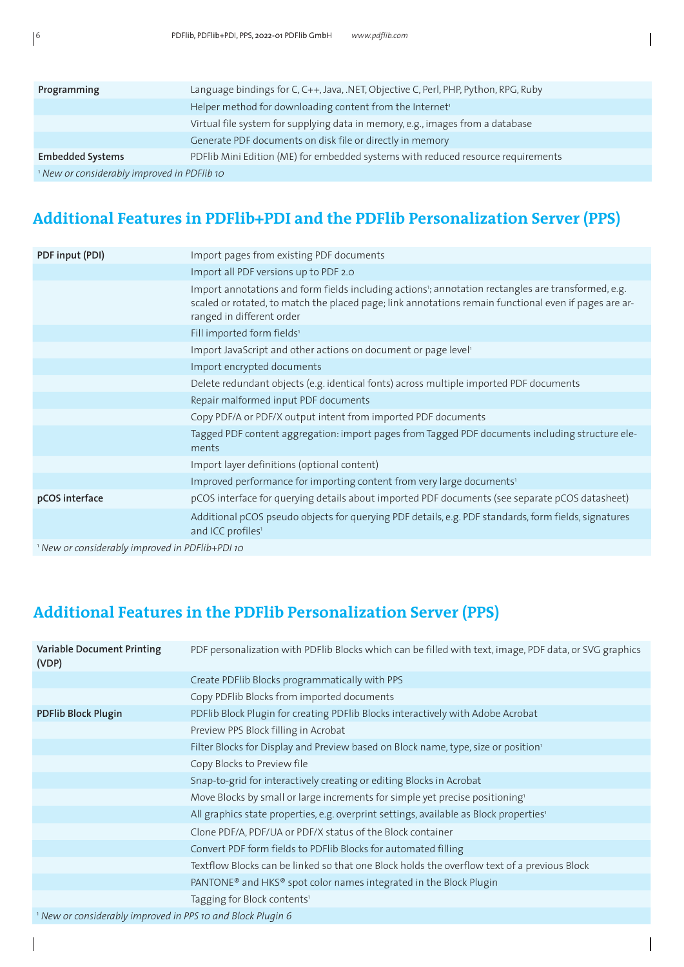| Programming                               | Language bindings for C, C++, Java, .NET, Objective C, Perl, PHP, Python, RPG, Ruby |  |
|-------------------------------------------|-------------------------------------------------------------------------------------|--|
|                                           | Helper method for downloading content from the Internet <sup>1</sup>                |  |
|                                           | Virtual file system for supplying data in memory, e.g., images from a database      |  |
|                                           | Generate PDF documents on disk file or directly in memory                           |  |
| <b>Embedded Systems</b>                   | PDFlib Mini Edition (ME) for embedded systems with reduced resource requirements    |  |
| New or considerably improved in PDFlib 10 |                                                                                     |  |

# **Additional Features in PDFlib+PDI and the PDFlib Personalization Server (PPS)**

| PDF input (PDI)                                            | Import pages from existing PDF documents                                                                                                                                                                                                 |  |
|------------------------------------------------------------|------------------------------------------------------------------------------------------------------------------------------------------------------------------------------------------------------------------------------------------|--|
|                                                            | Import all PDF versions up to PDF 2.0                                                                                                                                                                                                    |  |
|                                                            | Import annotations and form fields including actions'; annotation rectangles are transformed, e.g.<br>scaled or rotated, to match the placed page; link annotations remain functional even if pages are ar-<br>ranged in different order |  |
|                                                            | Fill imported form fields <sup>1</sup>                                                                                                                                                                                                   |  |
|                                                            | Import JavaScript and other actions on document or page level <sup>1</sup>                                                                                                                                                               |  |
|                                                            | Import encrypted documents                                                                                                                                                                                                               |  |
|                                                            | Delete redundant objects (e.g. identical fonts) across multiple imported PDF documents                                                                                                                                                   |  |
|                                                            | Repair malformed input PDF documents                                                                                                                                                                                                     |  |
|                                                            | Copy PDF/A or PDF/X output intent from imported PDF documents                                                                                                                                                                            |  |
|                                                            | Tagged PDF content aggregation: import pages from Tagged PDF documents including structure ele-<br>ments                                                                                                                                 |  |
|                                                            | Import layer definitions (optional content)                                                                                                                                                                                              |  |
|                                                            | Improved performance for importing content from very large documents <sup>1</sup>                                                                                                                                                        |  |
| pCOS interface                                             | pCOS interface for querying details about imported PDF documents (see separate pCOS datasheet)                                                                                                                                           |  |
|                                                            | Additional pCOS pseudo objects for querying PDF details, e.g. PDF standards, form fields, signatures<br>and ICC profiles <sup>1</sup>                                                                                                    |  |
| <sup>1</sup> New or considerably improved in PDFlib+PDI 10 |                                                                                                                                                                                                                                          |  |

# **Additional Features in the PDFlib Personalization Server (PPS)**

| Variable Document Printing<br>(VDP)                                    | PDF personalization with PDFlib Blocks which can be filled with text, image, PDF data, or SVG graphics |  |
|------------------------------------------------------------------------|--------------------------------------------------------------------------------------------------------|--|
|                                                                        | Create PDFlib Blocks programmatically with PPS                                                         |  |
|                                                                        | Copy PDFlib Blocks from imported documents                                                             |  |
| <b>PDFlib Block Plugin</b>                                             | PDFlib Block Plugin for creating PDFlib Blocks interactively with Adobe Acrobat                        |  |
|                                                                        | Preview PPS Block filling in Acrobat                                                                   |  |
|                                                                        | Filter Blocks for Display and Preview based on Block name, type, size or position <sup>1</sup>         |  |
|                                                                        | Copy Blocks to Preview file                                                                            |  |
|                                                                        | Snap-to-grid for interactively creating or editing Blocks in Acrobat                                   |  |
|                                                                        | Move Blocks by small or large increments for simple yet precise positioning <sup>1</sup>               |  |
|                                                                        | All graphics state properties, e.g. overprint settings, available as Block properties <sup>1</sup>     |  |
|                                                                        | Clone PDF/A, PDF/UA or PDF/X status of the Block container                                             |  |
|                                                                        | Convert PDF form fields to PDFlib Blocks for automated filling                                         |  |
|                                                                        | Textflow Blocks can be linked so that one Block holds the overflow text of a previous Block            |  |
|                                                                        | PANTONE <sup>®</sup> and HKS <sup>®</sup> spot color names integrated in the Block Plugin              |  |
|                                                                        | Tagging for Block contents <sup>1</sup>                                                                |  |
| <sup>1</sup> New or considerably improved in PPS 10 and Block Plugin 6 |                                                                                                        |  |

 $\overline{\phantom{a}}$